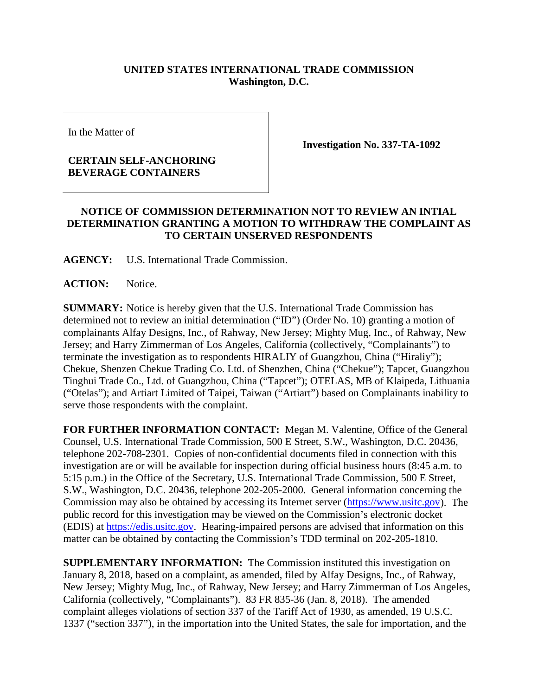## **UNITED STATES INTERNATIONAL TRADE COMMISSION Washington, D.C.**

In the Matter of

## **CERTAIN SELF-ANCHORING BEVERAGE CONTAINERS**

**Investigation No. 337-TA-1092**

## **NOTICE OF COMMISSION DETERMINATION NOT TO REVIEW AN INTIAL DETERMINATION GRANTING A MOTION TO WITHDRAW THE COMPLAINT AS TO CERTAIN UNSERVED RESPONDENTS**

**AGENCY:** U.S. International Trade Commission.

**ACTION:** Notice.

**SUMMARY:** Notice is hereby given that the U.S. International Trade Commission has determined not to review an initial determination ("ID") (Order No. 10) granting a motion of complainants Alfay Designs, Inc., of Rahway, New Jersey; Mighty Mug, Inc., of Rahway, New Jersey; and Harry Zimmerman of Los Angeles, California (collectively, "Complainants") to terminate the investigation as to respondents HIRALIY of Guangzhou, China ("Hiraliy"); Chekue, Shenzen Chekue Trading Co. Ltd. of Shenzhen, China ("Chekue"); Tapcet, Guangzhou Tinghui Trade Co., Ltd. of Guangzhou, China ("Tapcet"); OTELAS, MB of Klaipeda, Lithuania ("Otelas"); and Artiart Limited of Taipei, Taiwan ("Artiart") based on Complainants inability to serve those respondents with the complaint.

**FOR FURTHER INFORMATION CONTACT:** Megan M. Valentine, Office of the General Counsel, U.S. International Trade Commission, 500 E Street, S.W., Washington, D.C. 20436, telephone 202-708-2301. Copies of non-confidential documents filed in connection with this investigation are or will be available for inspection during official business hours (8:45 a.m. to 5:15 p.m.) in the Office of the Secretary, U.S. International Trade Commission, 500 E Street, S.W., Washington, D.C. 20436, telephone 202-205-2000. General information concerning the Commission may also be obtained by accessing its Internet server [\(https://www.usitc.gov\)](https://www.usitc.gov/). The public record for this investigation may be viewed on the Commission's electronic docket (EDIS) at [https://edis.usitc.gov.](https://edis.usitc.gov/) Hearing-impaired persons are advised that information on this matter can be obtained by contacting the Commission's TDD terminal on 202-205-1810.

**SUPPLEMENTARY INFORMATION:** The Commission instituted this investigation on January 8, 2018, based on a complaint, as amended, filed by Alfay Designs, Inc., of Rahway, New Jersey; Mighty Mug, Inc., of Rahway, New Jersey; and Harry Zimmerman of Los Angeles, California (collectively, "Complainants"). 83 FR 835-36 (Jan. 8, 2018). The amended complaint alleges violations of section 337 of the Tariff Act of 1930, as amended, 19 U.S.C. 1337 ("section 337"), in the importation into the United States, the sale for importation, and the